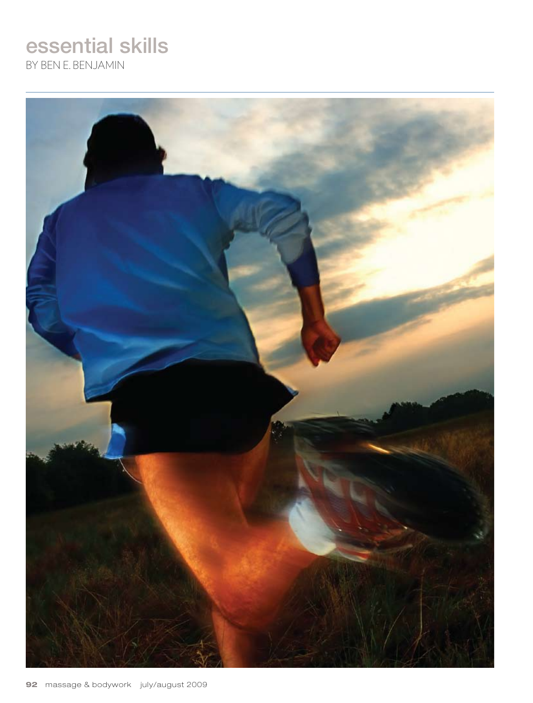# essential skills

By Ben E. Benjamin

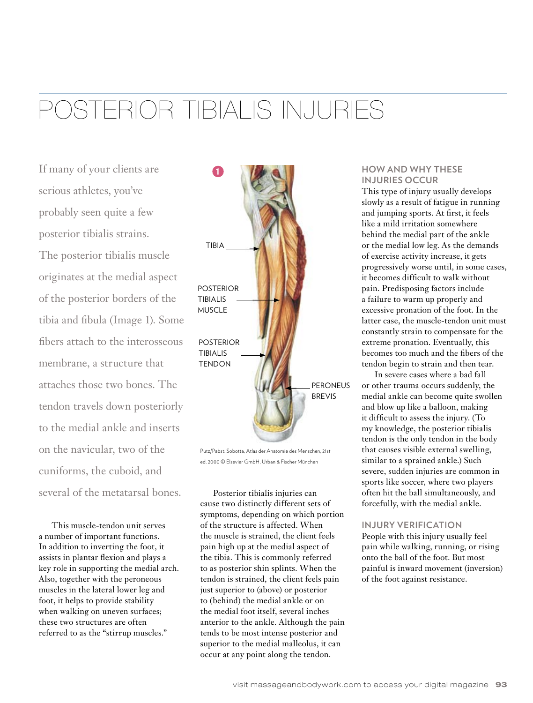# Posterior Tibialis Injuries

If many of your clients are serious athletes, you've probably seen quite a few posterior tibialis strains. The posterior tibialis muscle originates at the medial aspect of the posterior borders of the tibia and fibula (Image 1). Some fibers attach to the interosseous membrane, a structure that attaches those two bones. The tendon travels down posteriorly to the medial ankle and inserts on the navicular, two of the cuniforms, the cuboid, and several of the metatarsal bones.

This muscle-tendon unit serves a number of important functions. In addition to inverting the foot, it assists in plantar flexion and plays a key role in supporting the medial arch. Also, together with the peroneous muscles in the lateral lower leg and foot, it helps to provide stability when walking on uneven surfaces; these two structures are often referred to as the "stirrup muscles."



Putz/Pabst: Sobotta, Atlas der Anatomie des Menschen, 21st ed. 2000 © Elsevier GmbH, Urban & Fischer München

Posterior tibialis injuries can cause two distinctly different sets of symptoms, depending on which portion of the structure is affected. When the muscle is strained, the client feels pain high up at the medial aspect of the tibia. This is commonly referred to as posterior shin splints. When the tendon is strained, the client feels pain just superior to (above) or posterior to (behind) the medial ankle or on the medial foot itself, several inches anterior to the ankle. Although the pain tends to be most intense posterior and superior to the medial malleolus, it can occur at any point along the tendon.

## **How and Why These Injuries Occur**

This type of injury usually develops slowly as a result of fatigue in running and jumping sports. At first, it feels like a mild irritation somewhere behind the medial part of the ankle or the medial low leg. As the demands of exercise activity increase, it gets progressively worse until, in some cases, it becomes difficult to walk without pain. Predisposing factors include a failure to warm up properly and excessive pronation of the foot. In the latter case, the muscle-tendon unit must constantly strain to compensate for the extreme pronation. Eventually, this becomes too much and the fibers of the tendon begin to strain and then tear.

In severe cases where a bad fall or other trauma occurs suddenly, the medial ankle can become quite swollen and blow up like a balloon, making it difficult to assess the injury. (To my knowledge, the posterior tibialis tendon is the only tendon in the body that causes visible external swelling, similar to a sprained ankle.) Such severe, sudden injuries are common in sports like soccer, where two players often hit the ball simultaneously, and forcefully, with the medial ankle.

#### **Injury Verification**

People with this injury usually feel pain while walking, running, or rising onto the ball of the foot. But most painful is inward movement (inversion) of the foot against resistance.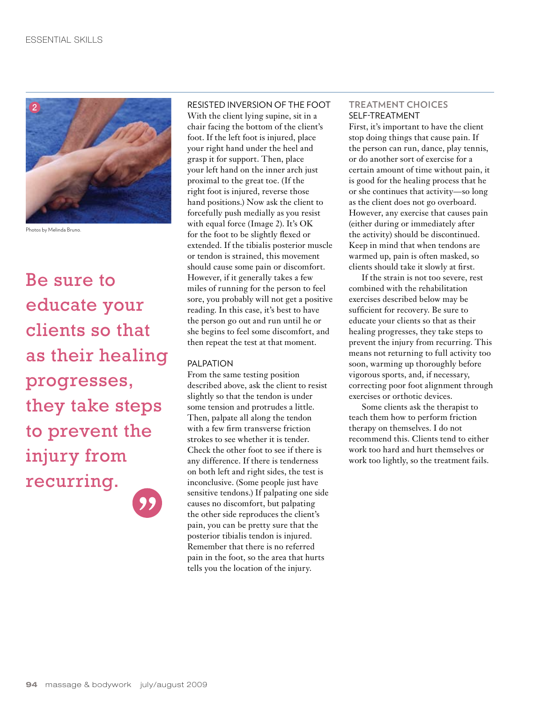

Photos by Melinda Bruno.

Be sure to educate your clients so that as their healing progresses, they take steps to prevent the injury from recurring.

### Resisted Inversion of the Foot With the client lying supine, sit in a chair facing the bottom of the client's foot. If the left foot is injured, place your right hand under the heel and grasp it for support. Then, place your left hand on the inner arch just proximal to the great toe. (If the right foot is injured, reverse those hand positions.) Now ask the client to forcefully push medially as you resist with equal force (Image 2). It's OK for the foot to be slightly flexed or extended. If the tibialis posterior muscle or tendon is strained, this movement should cause some pain or discomfort. However, if it generally takes a few miles of running for the person to feel sore, you probably will not get a positive reading. In this case, it's best to have the person go out and run until he or she begins to feel some discomfort, and then repeat the test at that moment.

#### PAI PATION

From the same testing position described above, ask the client to resist slightly so that the tendon is under some tension and protrudes a little. Then, palpate all along the tendon with a few firm transverse friction strokes to see whether it is tender. Check the other foot to see if there is any difference. If there is tenderness on both left and right sides, the test is inconclusive. (Some people just have sensitive tendons.) If palpating one side causes no discomfort, but palpating the other side reproduces the client's pain, you can be pretty sure that the posterior tibialis tendon is injured. Remember that there is no referred pain in the foot, so the area that hurts tells you the location of the injury.

#### **Treatment Choices** SFI F-TREATMENT

First, it's important to have the client stop doing things that cause pain. If the person can run, dance, play tennis, or do another sort of exercise for a certain amount of time without pain, it is good for the healing process that he or she continues that activity—so long as the client does not go overboard. However, any exercise that causes pain (either during or immediately after the activity) should be discontinued. Keep in mind that when tendons are warmed up, pain is often masked, so clients should take it slowly at first.

If the strain is not too severe, rest combined with the rehabilitation exercises described below may be sufficient for recovery. Be sure to educate your clients so that as their healing progresses, they take steps to prevent the injury from recurring. This means not returning to full activity too soon, warming up thoroughly before vigorous sports, and, if necessary, correcting poor foot alignment through exercises or orthotic devices.

Some clients ask the therapist to teach them how to perform friction therapy on themselves. I do not recommend this. Clients tend to either work too hard and hurt themselves or work too lightly, so the treatment fails.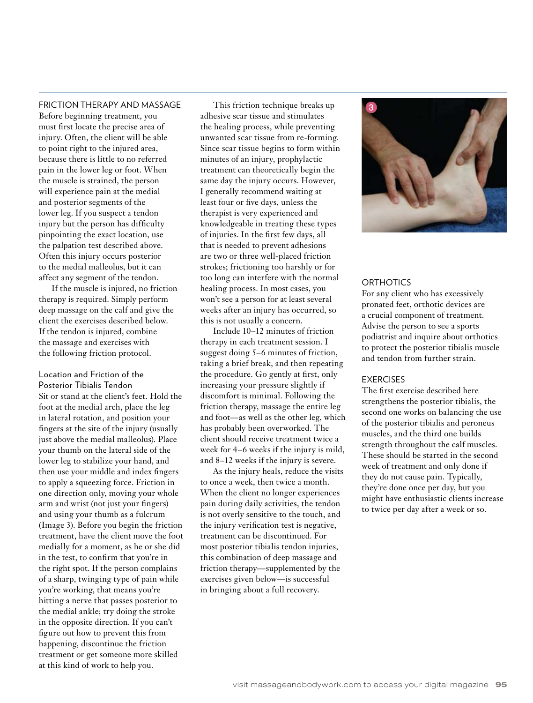#### Friction Therapy and Massage

Before beginning treatment, you must first locate the precise area of injury. Often, the client will be able to point right to the injured area, because there is little to no referred pain in the lower leg or foot. When the muscle is strained, the person will experience pain at the medial and posterior segments of the lower leg. If you suspect a tendon injury but the person has difficulty pinpointing the exact location, use the palpation test described above. Often this injury occurs posterior to the medial malleolus, but it can affect any segment of the tendon.

If the muscle is injured, no friction therapy is required. Simply perform deep massage on the calf and give the client the exercises described below. If the tendon is injured, combine the massage and exercises with the following friction protocol.

Location and Friction of the Posterior Tibialis Tendon Sit or stand at the client's feet. Hold the foot at the medial arch, place the leg in lateral rotation, and position your fingers at the site of the injury (usually just above the medial malleolus). Place your thumb on the lateral side of the lower leg to stabilize your hand, and then use your middle and index fingers to apply a squeezing force. Friction in one direction only, moving your whole arm and wrist (not just your fingers) and using your thumb as a fulcrum (Image 3). Before you begin the friction treatment, have the client move the foot medially for a moment, as he or she did in the test, to confirm that you're in the right spot. If the person complains of a sharp, twinging type of pain while you're working, that means you're hitting a nerve that passes posterior to the medial ankle; try doing the stroke in the opposite direction. If you can't figure out how to prevent this from happening, discontinue the friction treatment or get someone more skilled at this kind of work to help you.

This friction technique breaks up adhesive scar tissue and stimulates the healing process, while preventing unwanted scar tissue from re-forming. Since scar tissue begins to form within minutes of an injury, prophylactic treatment can theoretically begin the same day the injury occurs. However, I generally recommend waiting at least four or five days, unless the therapist is very experienced and knowledgeable in treating these types of injuries. In the first few days, all that is needed to prevent adhesions are two or three well-placed friction strokes; frictioning too harshly or for too long can interfere with the normal healing process. In most cases, you won't see a person for at least several weeks after an injury has occurred, so this is not usually a concern.

Include 10–12 minutes of friction therapy in each treatment session. I suggest doing 5–6 minutes of friction, taking a brief break, and then repeating the procedure. Go gently at first, only increasing your pressure slightly if discomfort is minimal. Following the friction therapy, massage the entire leg and foot—as well as the other leg, which has probably been overworked. The client should receive treatment twice a week for 4–6 weeks if the injury is mild, and 8–12 weeks if the injury is severe.

As the injury heals, reduce the visits to once a week, then twice a month. When the client no longer experiences pain during daily activities, the tendon is not overly sensitive to the touch, and the injury verification test is negative, treatment can be discontinued. For most posterior tibialis tendon injuries, this combination of deep massage and friction therapy—supplemented by the exercises given below—is successful in bringing about a full recovery.



#### **ORTHOTICS**

For any client who has excessively pronated feet, orthotic devices are a crucial component of treatment. Advise the person to see a sports podiatrist and inquire about orthotics to protect the posterior tibialis muscle and tendon from further strain.

#### **EXERCISES**

The first exercise described here strengthens the posterior tibialis, the second one works on balancing the use of the posterior tibialis and peroneus muscles, and the third one builds strength throughout the calf muscles. These should be started in the second week of treatment and only done if they do not cause pain. Typically, they're done once per day, but you might have enthusiastic clients increase to twice per day after a week or so.